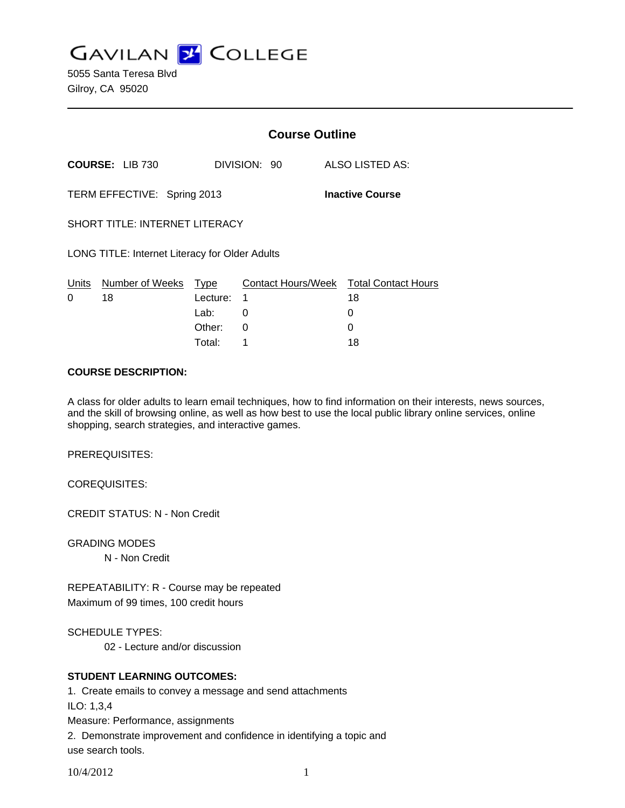**GAVILAN Z COLLEGE** 

5055 Santa Teresa Blvd Gilroy, CA 95020

|                                                       |                        | <b>Course Outline</b> |                         |                                  |
|-------------------------------------------------------|------------------------|-----------------------|-------------------------|----------------------------------|
|                                                       | <b>COURSE: LIB 730</b> |                       | DIVISION: 90            | ALSO LISTED AS:                  |
| TERM EFFECTIVE: Spring 2013<br><b>Inactive Course</b> |                        |                       |                         |                                  |
| <b>SHORT TITLE: INTERNET LITERACY</b>                 |                        |                       |                         |                                  |
| <b>LONG TITLE: Internet Literacy for Older Adults</b> |                        |                       |                         |                                  |
| Units<br>0                                            | Number of Weeks        | Type                  | Contact Hours/Week<br>1 | <b>Total Contact Hours</b><br>18 |
|                                                       | 18                     | Lecture:<br>Lab:      | 0                       | 0                                |
|                                                       |                        | Other:                | Ω                       |                                  |

## **COURSE DESCRIPTION:**

A class for older adults to learn email techniques, how to find information on their interests, news sources, and the skill of browsing online, as well as how best to use the local public library online services, online shopping, search strategies, and interactive games.

Total: 1 18

PREREQUISITES:

COREQUISITES:

CREDIT STATUS: N - Non Credit

GRADING MODES

N - Non Credit

REPEATABILITY: R - Course may be repeated Maximum of 99 times, 100 credit hours

SCHEDULE TYPES:

02 - Lecture and/or discussion

## **STUDENT LEARNING OUTCOMES:**

1. Create emails to convey a message and send attachments

ILO: 1,3,4

Measure: Performance, assignments

2. Demonstrate improvement and confidence in identifying a topic and use search tools.

10/4/2012 1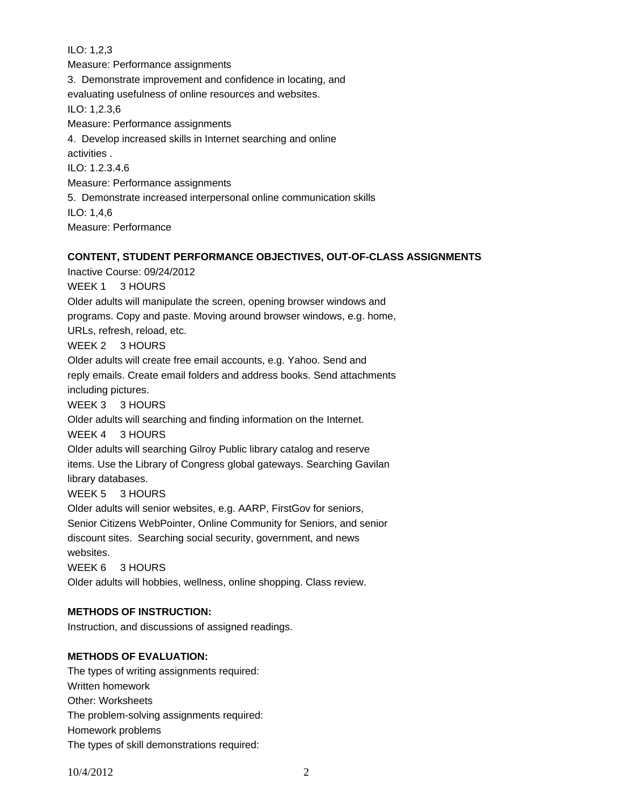ILO: 1,2,3 Measure: Performance assignments 3. Demonstrate improvement and confidence in locating, and evaluating usefulness of online resources and websites. ILO: 1,2.3,6 Measure: Performance assignments 4. Develop increased skills in Internet searching and online activities . ILO: 1.2.3.4.6 Measure: Performance assignments 5. Demonstrate increased interpersonal online communication skills ILO: 1,4,6 Measure: Performance

# **CONTENT, STUDENT PERFORMANCE OBJECTIVES, OUT-OF-CLASS ASSIGNMENTS**

Inactive Course: 09/24/2012

WEEK 1 3 HOURS

Older adults will manipulate the screen, opening browser windows and programs. Copy and paste. Moving around browser windows, e.g. home, URLs, refresh, reload, etc.

WEEK 2 3 HOURS

Older adults will create free email accounts, e.g. Yahoo. Send and

reply emails. Create email folders and address books. Send attachments including pictures.

WEEK 3 3 HOURS

Older adults will searching and finding information on the Internet.

WEEK 4 3 HOURS

Older adults will searching Gilroy Public library catalog and reserve items. Use the Library of Congress global gateways. Searching Gavilan

library databases.

WEEK 5 3 HOURS

Older adults will senior websites, e.g. AARP, FirstGov for seniors,

Senior Citizens WebPointer, Online Community for Seniors, and senior

discount sites. Searching social security, government, and news websites.

WEEK 6 3 HOURS

Older adults will hobbies, wellness, online shopping. Class review.

## **METHODS OF INSTRUCTION:**

Instruction, and discussions of assigned readings.

## **METHODS OF EVALUATION:**

The types of writing assignments required: Written homework Other: Worksheets The problem-solving assignments required: Homework problems The types of skill demonstrations required: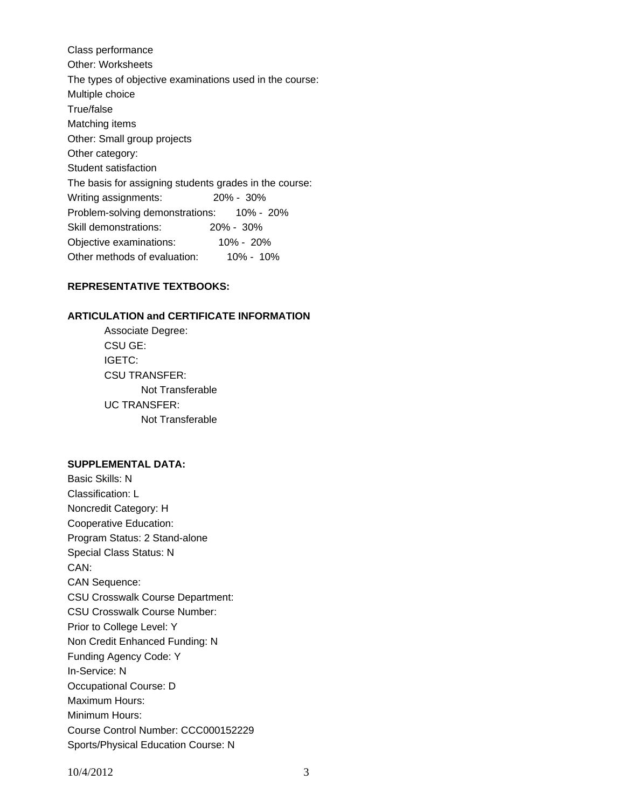Class performance Other: Worksheets The types of objective examinations used in the course: Multiple choice True/false Matching items Other: Small group projects Other category: Student satisfaction The basis for assigning students grades in the course: Writing assignments: 20% - 30% Problem-solving demonstrations: 10% - 20% Skill demonstrations: 20% - 30% Objective examinations: 10% - 20% Other methods of evaluation: 10% - 10%

## **REPRESENTATIVE TEXTBOOKS:**

#### **ARTICULATION and CERTIFICATE INFORMATION**

 Not Transferable UC TRANSFER: Not Transferable Associate Degree: CSU GE: IGETC: CSU TRANSFER:

#### **SUPPLEMENTAL DATA:**

Basic Skills: N Classification: L Noncredit Category: H Cooperative Education: Program Status: 2 Stand-alone Special Class Status: N CAN: CAN Sequence: CSU Crosswalk Course Department: CSU Crosswalk Course Number: Prior to College Level: Y Non Credit Enhanced Funding: N Funding Agency Code: Y In-Service: N Occupational Course: D Maximum Hours: Minimum Hours: Course Control Number: CCC000152229 Sports/Physical Education Course: N

10/4/2012 3